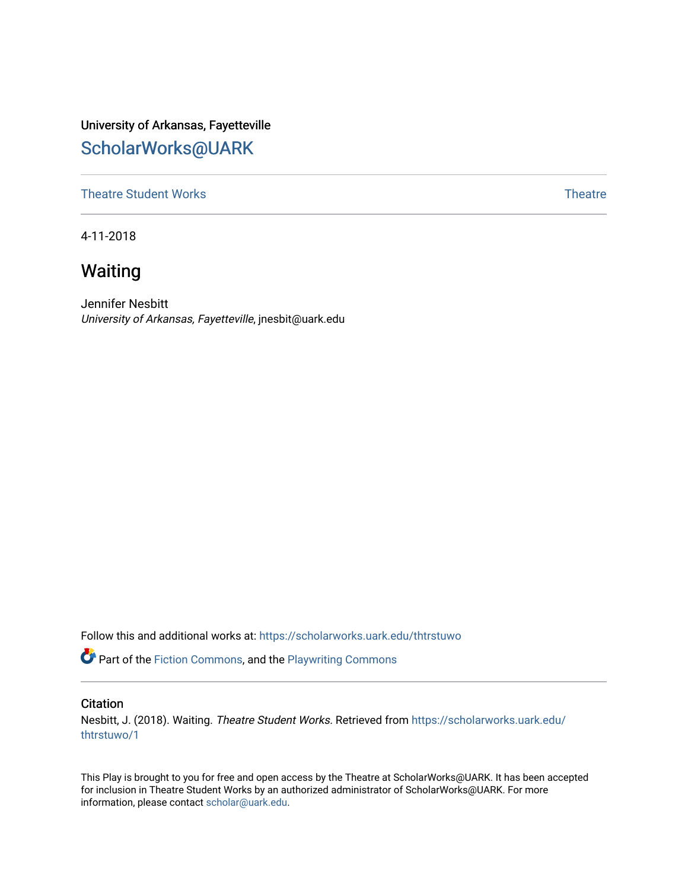University of Arkansas, Fayetteville [ScholarWorks@UARK](https://scholarworks.uark.edu/) 

[Theatre Student Works](https://scholarworks.uark.edu/thtrstuwo) [Theatre](https://scholarworks.uark.edu/thtr) Theatre Theatre Theatre Theatre Theatre Theatre Theatre

4-11-2018

# Waiting

Jennifer Nesbitt University of Arkansas, Fayetteville, jnesbit@uark.edu

Follow this and additional works at: [https://scholarworks.uark.edu/thtrstuwo](https://scholarworks.uark.edu/thtrstuwo?utm_source=scholarworks.uark.edu%2Fthtrstuwo%2F1&utm_medium=PDF&utm_campaign=PDFCoverPages) 

Part of the [Fiction Commons,](http://network.bepress.com/hgg/discipline/1151?utm_source=scholarworks.uark.edu%2Fthtrstuwo%2F1&utm_medium=PDF&utm_campaign=PDFCoverPages) and the Playwriting Commons

## **Citation**

Nesbitt, J. (2018). Waiting. Theatre Student Works. Retrieved from [https://scholarworks.uark.edu/](https://scholarworks.uark.edu/thtrstuwo/1?utm_source=scholarworks.uark.edu%2Fthtrstuwo%2F1&utm_medium=PDF&utm_campaign=PDFCoverPages) [thtrstuwo/1](https://scholarworks.uark.edu/thtrstuwo/1?utm_source=scholarworks.uark.edu%2Fthtrstuwo%2F1&utm_medium=PDF&utm_campaign=PDFCoverPages)

This Play is brought to you for free and open access by the Theatre at ScholarWorks@UARK. It has been accepted for inclusion in Theatre Student Works by an authorized administrator of ScholarWorks@UARK. For more information, please contact [scholar@uark.edu.](mailto:scholar@uark.edu)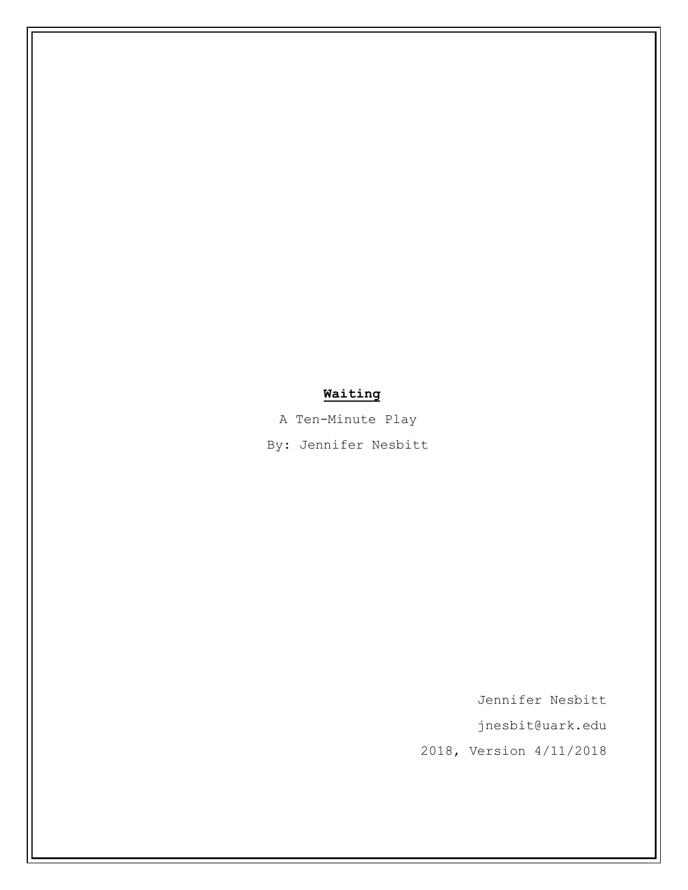## **Waiting**

A Ten-Minute Play

By: Jennifer Nesbitt

Jennifer Nesbitt

[jnesbit@uark.edu](mailto:jnesbit@uark.edu)

2018, Version 4/11/2018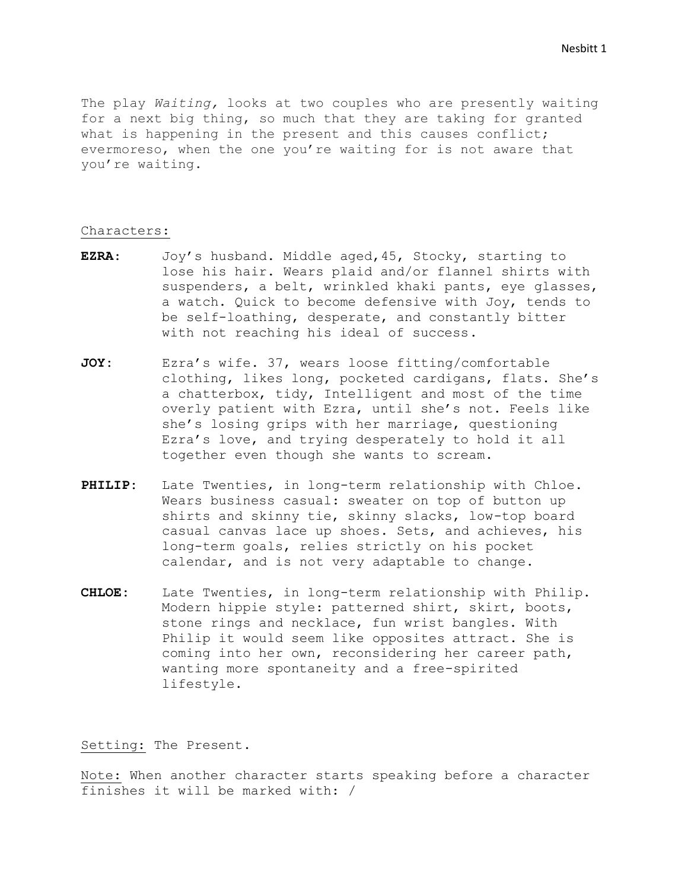The play *Waiting,* looks at two couples who are presently waiting for a next big thing, so much that they are taking for granted what is happening in the present and this causes conflict; evermoreso, when the one you're waiting for is not aware that you're waiting.

## Characters:

- **EZRA**: Joy's husband. Middle aged,45, Stocky, starting to lose his hair. Wears plaid and/or flannel shirts with suspenders, a belt, wrinkled khaki pants, eye glasses, a watch. Quick to become defensive with Joy, tends to be self-loathing, desperate, and constantly bitter with not reaching his ideal of success.
- **JOY:** Ezra's wife. 37, wears loose fitting/comfortable clothing, likes long, pocketed cardigans, flats. She's a chatterbox, tidy, Intelligent and most of the time overly patient with Ezra, until she's not. Feels like she's losing grips with her marriage, questioning Ezra's love, and trying desperately to hold it all together even though she wants to scream.
- **PHILIP:** Late Twenties, in long-term relationship with Chloe. Wears business casual: sweater on top of button up shirts and skinny tie, skinny slacks, low-top board casual canvas lace up shoes. Sets, and achieves, his long-term goals, relies strictly on his pocket calendar, and is not very adaptable to change.
- **CHLOE:** Late Twenties, in long-term relationship with Philip. Modern hippie style: patterned shirt, skirt, boots, stone rings and necklace, fun wrist bangles. With Philip it would seem like opposites attract. She is coming into her own, reconsidering her career path, wanting more spontaneity and a free-spirited lifestyle.

Setting: The Present.

Note: When another character starts speaking before a character finishes it will be marked with: /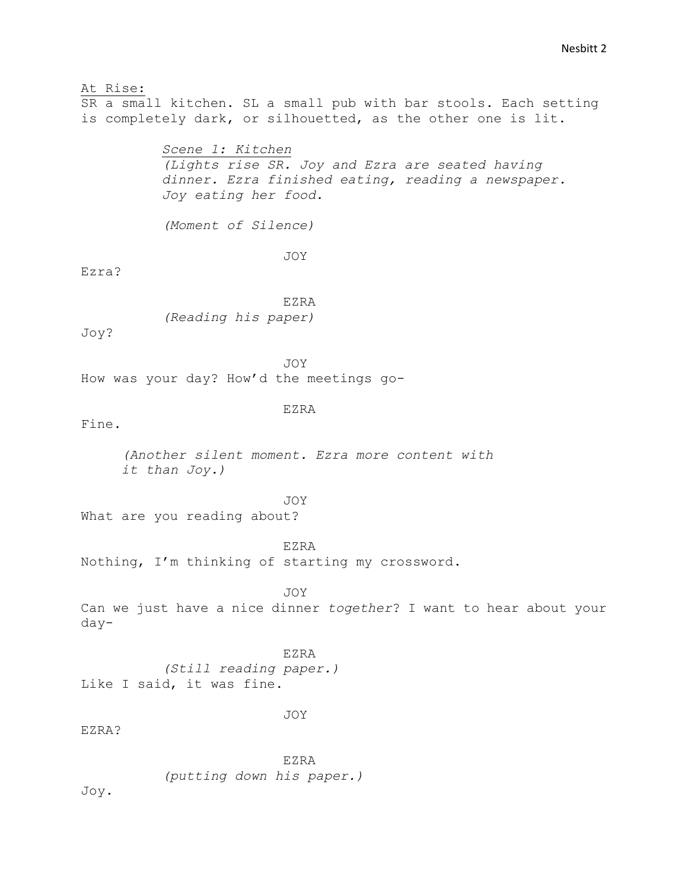## At Rise:

SR a small kitchen. SL a small pub with bar stools. Each setting is completely dark, or silhouetted, as the other one is lit.

> *Scene 1: Kitchen (Lights rise SR. Joy and Ezra are seated having dinner. Ezra finished eating, reading a newspaper. Joy eating her food.*

*(Moment of Silence)*

JOY

Ezra?

EZRA *(Reading his paper)*

Joy?

JOY

How was your day? How'd the meetings go-

## EZRA

Fine.

*(Another silent moment. Ezra more content with it than Joy.)*

JOY

What are you reading about?

EZRA

Nothing, I'm thinking of starting my crossword.

JOY

Can we just have a nice dinner *together*? I want to hear about your day-

EZRA *(Still reading paper.)* Like I said, it was fine.

JOY

EZRA?

EZRA *(putting down his paper.)*

Joy.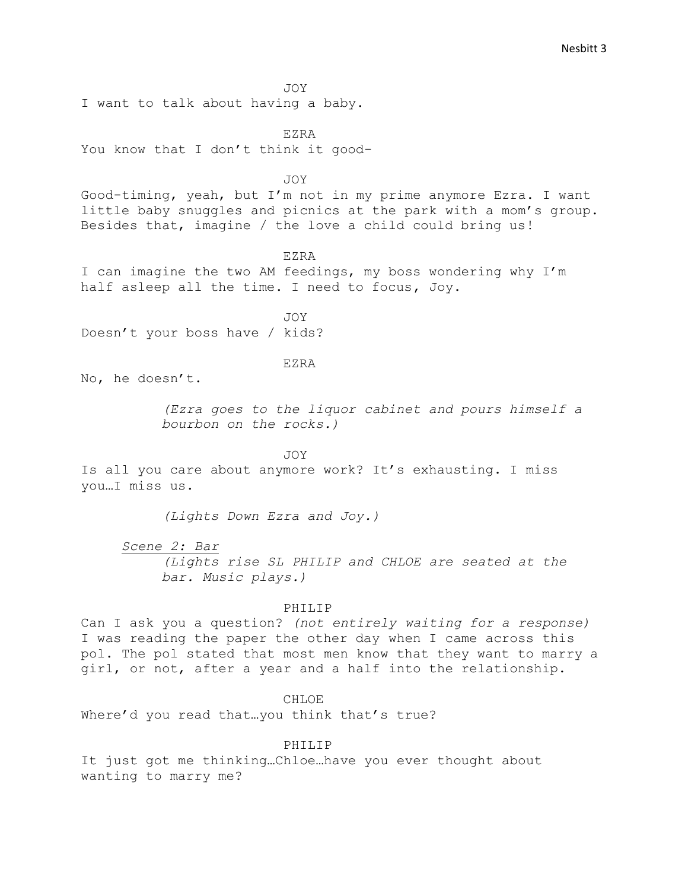JOY

I want to talk about having a baby.

EZRA You know that I don't think it good-

JOY

Good-timing, yeah, but I'm not in my prime anymore Ezra. I want little baby snuggles and picnics at the park with a mom's group. Besides that, imagine / the love a child could bring us!

EZRA

I can imagine the two AM feedings, my boss wondering why I'm half asleep all the time. I need to focus, Joy.

JOY Doesn't your boss have / kids?

EZRA

No, he doesn't.

*(Ezra goes to the liquor cabinet and pours himself a bourbon on the rocks.)* 

JOY

Is all you care about anymore work? It's exhausting. I miss you…I miss us.

*(Lights Down Ezra and Joy.)*

*Scene 2: Bar*

*(Lights rise SL PHILIP and CHLOE are seated at the bar. Music plays.)*

PHILIP

Can I ask you a question? *(not entirely waiting for a response)*  I was reading the paper the other day when I came across this pol. The pol stated that most men know that they want to marry a girl, or not, after a year and a half into the relationship.

CHLOE

Where'd you read that... you think that's true?

PHILIP

It just got me thinking…Chloe…have you ever thought about wanting to marry me?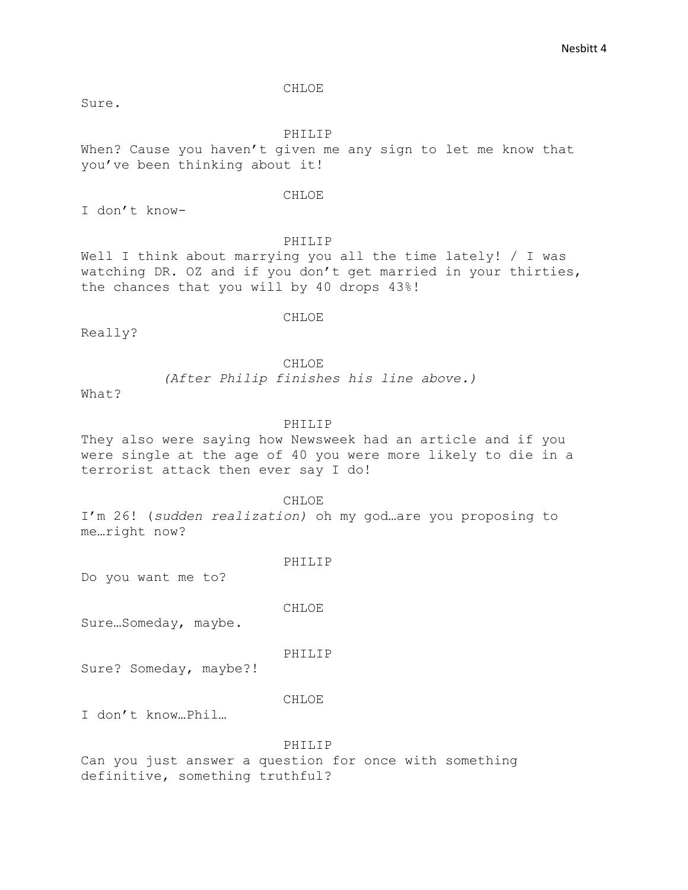CHLOE

Sure.

PHILIP

When? Cause you haven't given me any sign to let me know that you've been thinking about it!

#### CHLOE

I don't know-

## PHILIP

Well I think about marrying you all the time lately! / I was watching DR. OZ and if you don't get married in your thirties, the chances that you will by 40 drops 43%!

CHLOE

Really?

CHLOE

*(After Philip finishes his line above.)*

What?

## PHILIP

They also were saying how Newsweek had an article and if you were single at the age of 40 you were more likely to die in a terrorist attack then ever say I do!

CHLOE

I'm 26! (*sudden realization)* oh my god…are you proposing to me…right now?

PHILIP

Do you want me to?

CHLOE

Sure…Someday, maybe.

PHILIP

Sure? Someday, maybe?!

## CHLOE

I don't know…Phil…

## PHILIP

Can you just answer a question for once with something definitive, something truthful?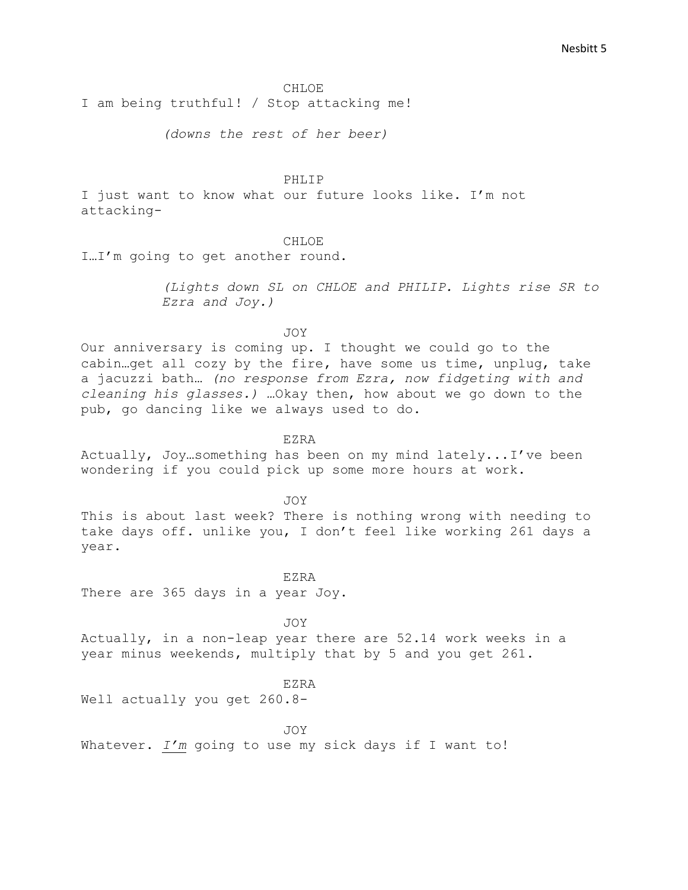#### CHLOE

I am being truthful! / Stop attacking me!

*(downs the rest of her beer)*

PHLIP

I just want to know what our future looks like. I'm not attacking-

CH<sub>LOE</sub>

I…I'm going to get another round.

*(Lights down SL on CHLOE and PHILIP. Lights rise SR to Ezra and Joy.)*

JOY

Our anniversary is coming up. I thought we could go to the cabin…get all cozy by the fire, have some us time, unplug, take a jacuzzi bath… *(no response from Ezra, now fidgeting with and cleaning his glasses.) …*Okay then, how about we go down to the pub, go dancing like we always used to do.

EZRA

Actually, Joy…something has been on my mind lately...I've been wondering if you could pick up some more hours at work.

JOY

This is about last week? There is nothing wrong with needing to take days off. unlike you, I don't feel like working 261 days a year.

EZRA There are 365 days in a year Joy.

JOY Actually, in a non-leap year there are 52.14 work weeks in a year minus weekends, multiply that by 5 and you get 261.

EZRA

Well actually you get 260.8-

JOY

Whatever. *I'm* going to use my sick days if I want to!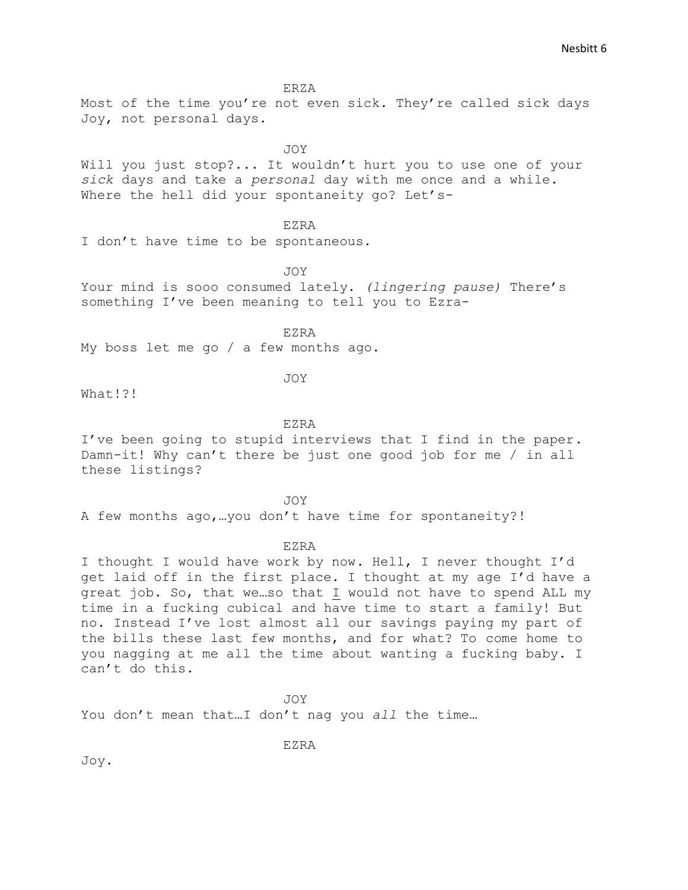ERZA

Most of the time you're not even sick. They're called sick days Joy, not personal days.

JOY

Will you just stop?... It wouldn't hurt you to use one of your *sick* days and take a *personal* day with me once and a while. Where the hell did your spontaneity go? Let's-

### EZRA

I don't have time to be spontaneous.

JOY

Your mind is sooo consumed lately. *(lingering pause)* There's something I've been meaning to tell you to Ezra-

EZRA

My boss let me go / a few months ago.

JOY

What!?!

#### EZRA

I've been going to stupid interviews that I find in the paper. Damn-it! Why can't there be just one good job for me / in all these listings?

JOY

A few months ago,…you don't have time for spontaneity?!

### EZRA

I thought I would have work by now. Hell, I never thought I'd get laid off in the first place. I thought at my age I'd have a great job. So, that we…so that I would not have to spend ALL my time in a fucking cubical and have time to start a family! But no. Instead I've lost almost all our savings paying my part of the bills these last few months, and for what? To come home to you nagging at me all the time about wanting a fucking baby. I can't do this.

JOY

EZRA

You don't mean that…I don't nag you *all* the time…

Joy.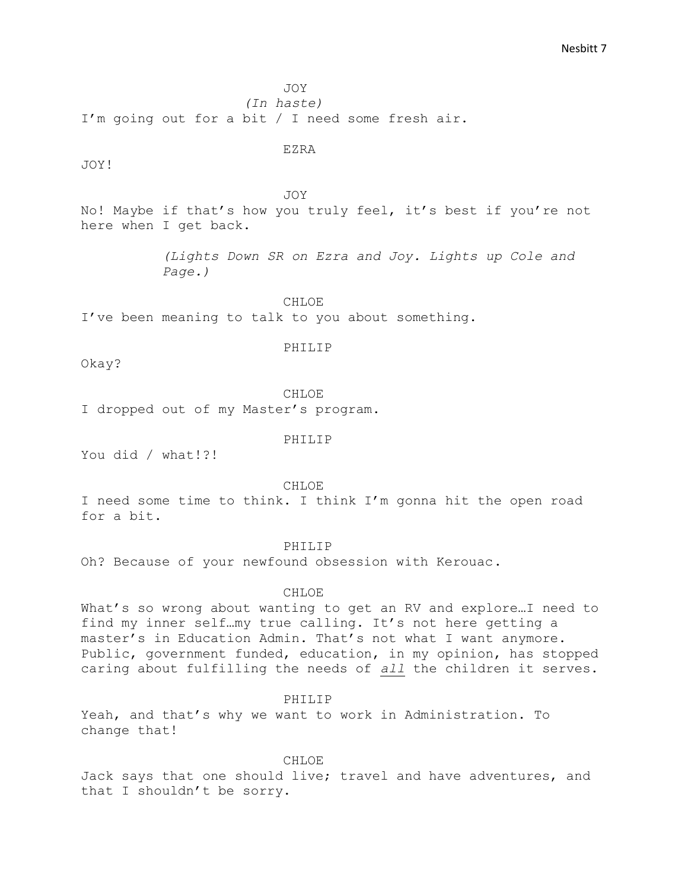JOY

*(In haste)* I'm going out for a bit / I need some fresh air.

JOY!

EZRA

JOY

No! Maybe if that's how you truly feel, it's best if you're not here when I get back.

> *(Lights Down SR on Ezra and Joy. Lights up Cole and Page.)*

CHLOE I've been meaning to talk to you about something.

PHILIP

Okay?

CHLOE

I dropped out of my Master's program.

PHILIP

You did / what!?!

CHLOE

I need some time to think. I think I'm gonna hit the open road for a bit.

## PHILIP

Oh? Because of your newfound obsession with Kerouac.

#### CHLOE

What's so wrong about wanting to get an RV and explore…I need to find my inner self…my true calling. It's not here getting a master's in Education Admin. That's not what I want anymore. Public, government funded, education, in my opinion, has stopped caring about fulfilling the needs of *all* the children it serves.

PHILIP

Yeah, and that's why we want to work in Administration. To change that!

CHLOE

Jack says that one should live; travel and have adventures, and that I shouldn't be sorry.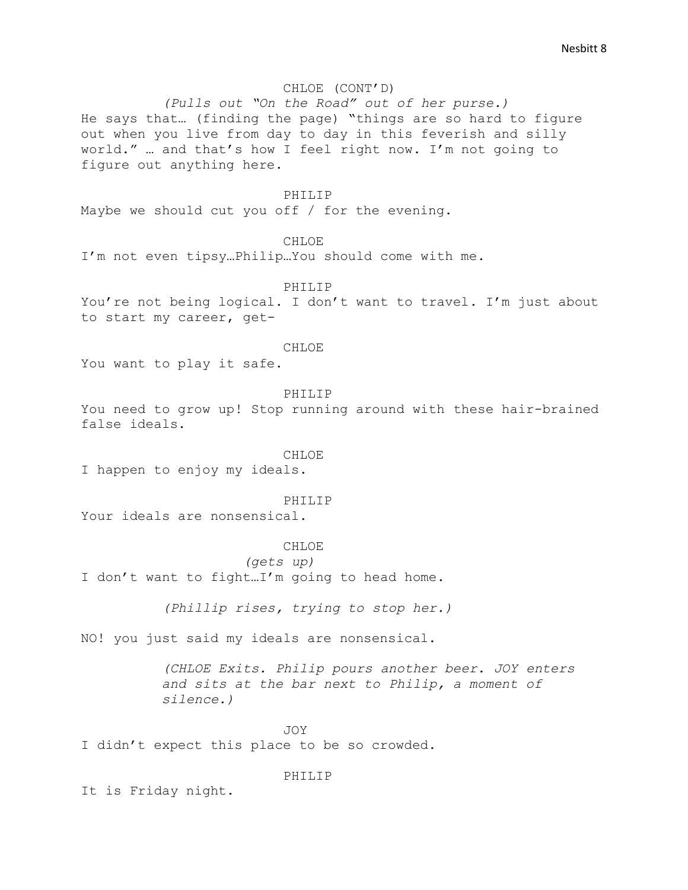## CHLOE (CONT'D)

*(Pulls out "On the Road" out of her purse.)*  He says that… (finding the page) "things are so hard to figure out when you live from day to day in this feverish and silly world." … and that's how I feel right now. I'm not going to figure out anything here.

#### PHILIP

Maybe we should cut you off / for the evening.

**CHLOE** 

I'm not even tipsy…Philip…You should come with me.

PHILIP

You're not being logical. I don't want to travel. I'm just about to start my career, get-

## CHLOE

You want to play it safe.

PHILIP

You need to grow up! Stop running around with these hair-brained false ideals.

## CHLOE.

I happen to enjoy my ideals.

#### PHILIP

Your ideals are nonsensical.

#### **CHLOE**

*(gets up)*

I don't want to fight…I'm going to head home.

*(Phillip rises, trying to stop her.)*

NO! you just said my ideals are nonsensical.

*(CHLOE Exits. Philip pours another beer. JOY enters and sits at the bar next to Philip, a moment of silence.)*

JOY I didn't expect this place to be so crowded.

## PHILIP

It is Friday night.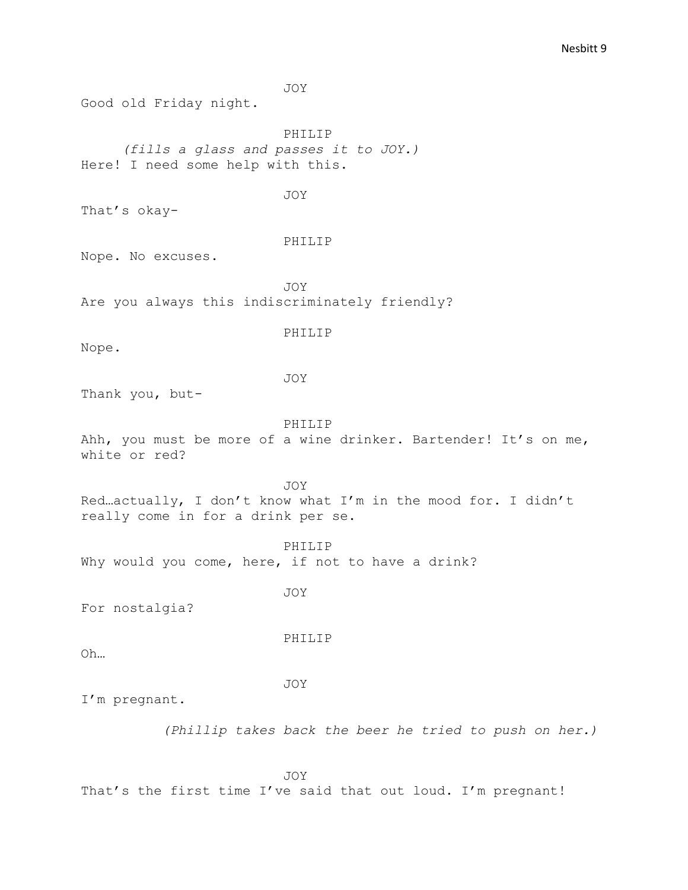JOY Good old Friday night. PHILIP *(fills a glass and passes it to JOY.)* Here! I need some help with this. JOY That's okay-PHILIP Nope. No excuses. JOY Are you always this indiscriminately friendly? PHILIP Nope. JOY Thank you, but-PHILIP Ahh, you must be more of a wine drinker. Bartender! It's on me, white or red? JOY Red…actually, I don't know what I'm in the mood for. I didn't really come in for a drink per se. PHILIP Why would you come, here, if not to have a drink? JOY For nostalgia? PHILIP Oh… JOY I'm pregnant. *(Phillip takes back the beer he tried to push on her.)* 

JOY That's the first time I've said that out loud. I'm pregnant!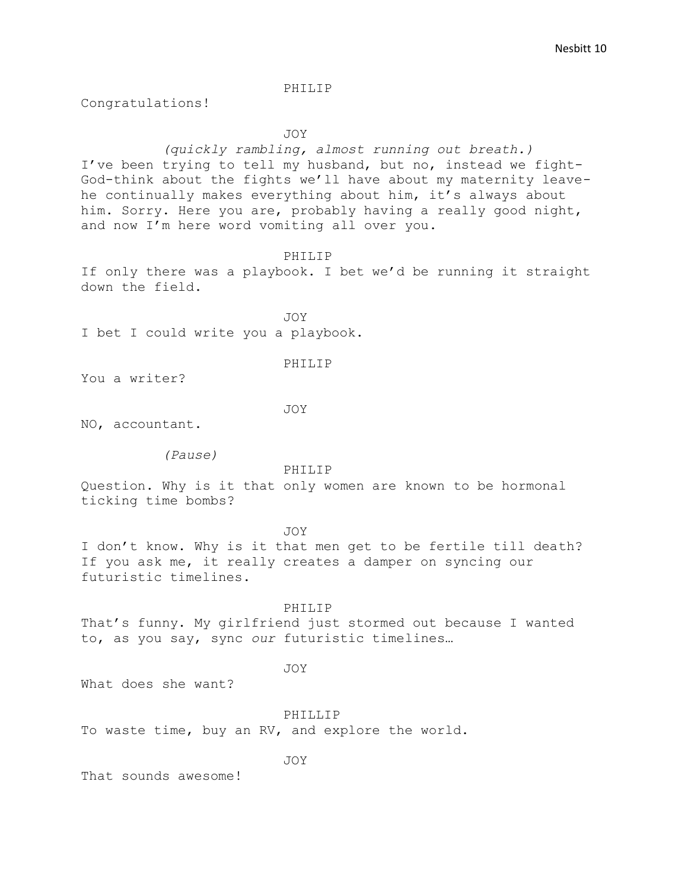Congratulations!

JOY

*(quickly rambling, almost running out breath.)* I've been trying to tell my husband, but no, instead we fight-God-think about the fights we'll have about my maternity leavehe continually makes everything about him, it's always about him. Sorry. Here you are, probably having a really good night, and now I'm here word vomiting all over you.

PHILIP

If only there was a playbook. I bet we'd be running it straight down the field.

JOY I bet I could write you a playbook.

#### PHILIP

You a writer?

JOY

NO, accountant.

*(Pause)*

PHILIP

Question. Why is it that only women are known to be hormonal ticking time bombs?

JOY

I don't know. Why is it that men get to be fertile till death? If you ask me, it really creates a damper on syncing our futuristic timelines.

PHILIP

That's funny. My girlfriend just stormed out because I wanted to, as you say, sync *our* futuristic timelines…

JOY

What does she want?

PHILLIP To waste time, buy an RV, and explore the world.

JOY

That sounds awesome!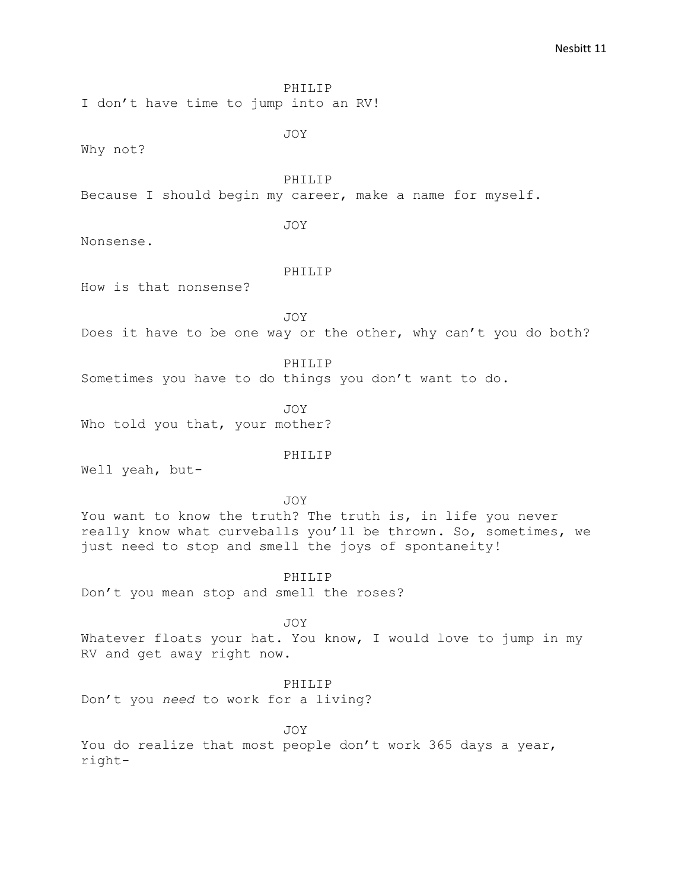I don't have time to jump into an RV!

JOY

Why not?

PHILIP

Because I should begin my career, make a name for myself.

JOY

Nonsense.

#### PHILIP

How is that nonsense?

JOY

Does it have to be one way or the other, why can't you do both?

PHILIP

Sometimes you have to do things you don't want to do.

JOY Who told you that, your mother?

#### PHILIP

Well yeah, but-

JOY

You want to know the truth? The truth is, in life you never really know what curveballs you'll be thrown. So, sometimes, we just need to stop and smell the joys of spontaneity!

PHILIP Don't you mean stop and smell the roses?

JOY

Whatever floats your hat. You know, I would love to jump in my RV and get away right now.

### PHILIP

Don't you *need* to work for a living?

JOY You do realize that most people don't work 365 days a year, right-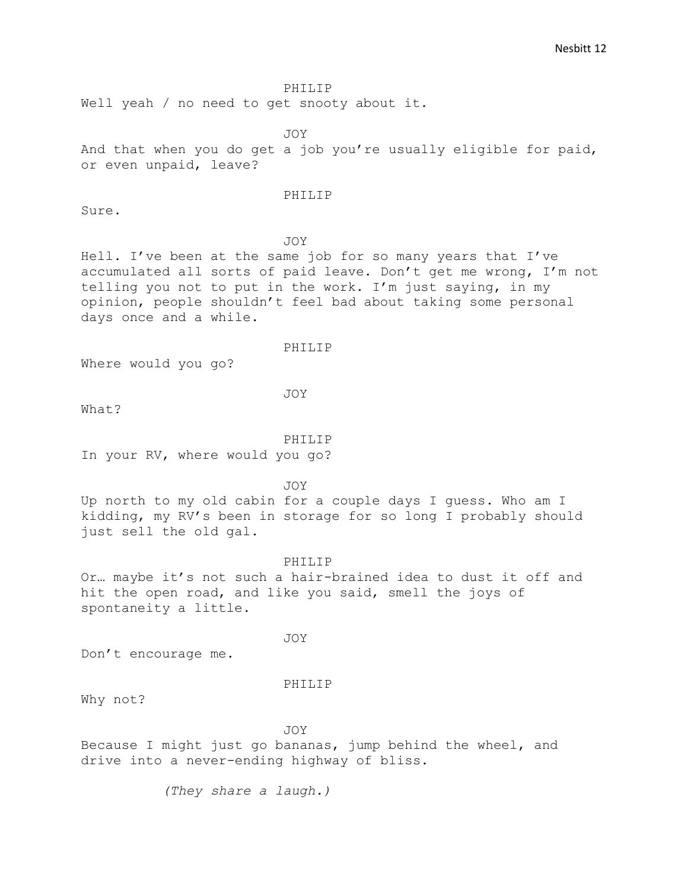Well yeah / no need to get snooty about it.

JOY

And that when you do get a job you're usually eligible for paid, or even unpaid, leave?

#### PHILIP

Sure.

## JOY

Hell. I've been at the same job for so many years that I've accumulated all sorts of paid leave. Don't get me wrong, I'm not telling you not to put in the work. I'm just saying, in my opinion, people shouldn't feel bad about taking some personal days once and a while.

#### PHILIP

Where would you go?

JOY

What?

## PHILIP

In your RV, where would you go?

JOY

Up north to my old cabin for a couple days I guess. Who am I kidding, my RV's been in storage for so long I probably should just sell the old gal.

## PHILIP

Or… maybe it's not such a hair-brained idea to dust it off and hit the open road, and like you said, smell the joys of spontaneity a little.

JOY

Don't encourage me.

#### PHILIP

Why not?

JOY

Because I might just go bananas, jump behind the wheel, and drive into a never-ending highway of bliss.

*(They share a laugh.)*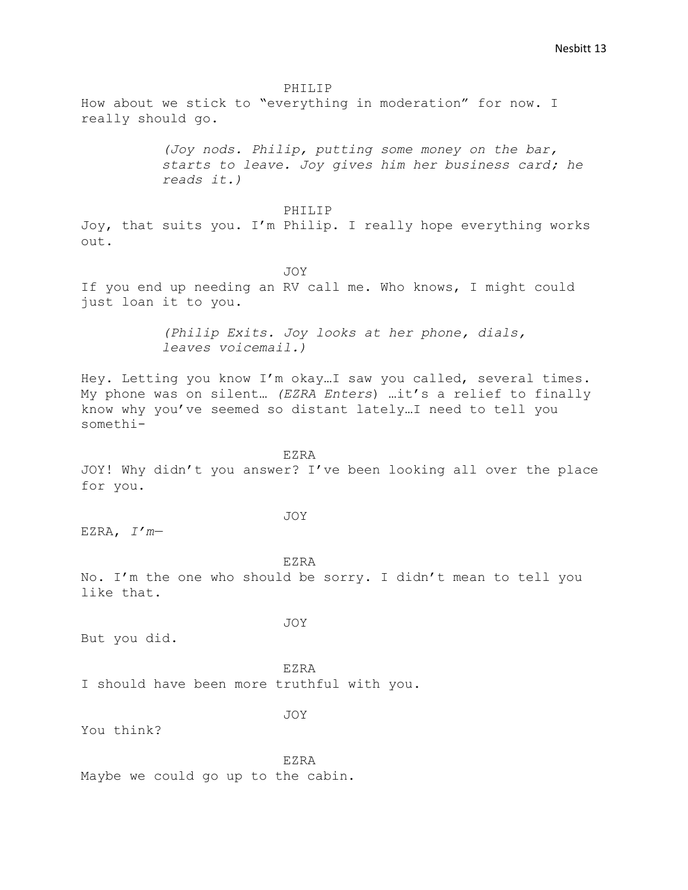How about we stick to "everything in moderation" for now. I really should go.

> *(Joy nods. Philip, putting some money on the bar, starts to leave. Joy gives him her business card; he reads it.)*

> > PHILIP

Joy, that suits you. I'm Philip. I really hope everything works out.

JOY If you end up needing an RV call me. Who knows, I might could just loan it to you.

> *(Philip Exits. Joy looks at her phone, dials, leaves voicemail.)*

Hey. Letting you know I'm okay…I saw you called, several times. My phone was on silent… *(EZRA Enters*) …it's a relief to finally know why you've seemed so distant lately…I need to tell you somethi-

EZRA

JOY! Why didn't you answer? I've been looking all over the place for you.

JOY

EZRA, *I'm—*

EZRA No. I'm the one who should be sorry. I didn't mean to tell you like that.

JOY

But you did.

EZRA I should have been more truthful with you.

JOY

You think?

EZRA Maybe we could go up to the cabin.